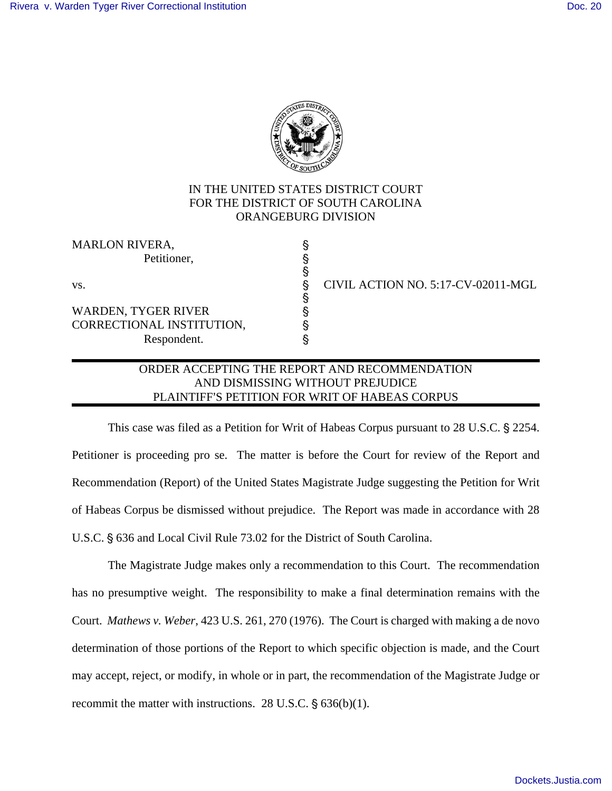

# IN THE UNITED STATES DISTRICT COURT FOR THE DISTRICT OF SOUTH CAROLINA ORANGEBURG DIVISION

§

§

MARLON RIVERA, Petitioner.

WARDEN, TYGER RIVER ' CORRECTIONAL INSTITUTION, ' Respondent. '

vs.  $\qquad \qquad \qquad \qquad$  CIVIL ACTION NO. 5:17-CV-02011-MGL

## ORDER ACCEPTING THE REPORT AND RECOMMENDATION AND DISMISSING WITHOUT PREJUDICE PLAINTIFF'S PETITION FOR WRIT OF HABEAS CORPUS

This case was filed as a Petition for Writ of Habeas Corpus pursuant to 28 U.S.C. § 2254. Petitioner is proceeding pro se. The matter is before the Court for review of the Report and Recommendation (Report) of the United States Magistrate Judge suggesting the Petition for Writ of Habeas Corpus be dismissed without prejudice. The Report was made in accordance with 28 U.S.C. § 636 and Local Civil Rule 73.02 for the District of South Carolina.

The Magistrate Judge makes only a recommendation to this Court. The recommendation has no presumptive weight. The responsibility to make a final determination remains with the Court. *Mathews v. Weber*, 423 U.S. 261, 270 (1976). The Court is charged with making a de novo determination of those portions of the Report to which specific objection is made, and the Court may accept, reject, or modify, in whole or in part, the recommendation of the Magistrate Judge or recommit the matter with instructions. 28 U.S.C.  $\S$  636(b)(1).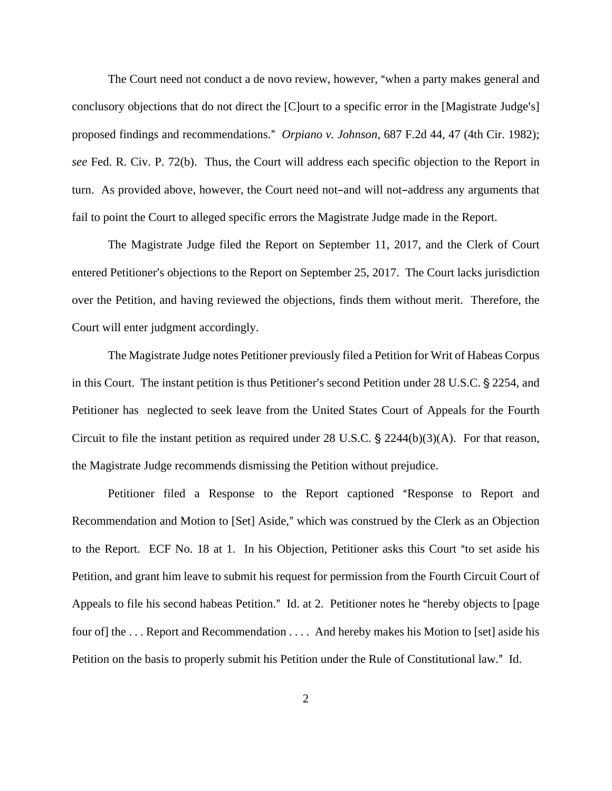The Court need not conduct a de novo review, however, "when a party makes general and conclusory objections that do not direct the  $[C]$  ourt to a specific error in the [Magistrate Judge's] proposed findings and recommendations." *Orpiano v. Johnson*, 687 F.2d 44, 47 (4th Cir. 1982); *see* Fed. R. Civ. P. 72(b). Thus, the Court will address each specific objection to the Report in turn. As provided above, however, the Court need not-and will not-address any arguments that fail to point the Court to alleged specific errors the Magistrate Judge made in the Report.

The Magistrate Judge filed the Report on September 11, 2017, and the Clerk of Court entered Petitioner's objections to the Report on September 25, 2017. The Court lacks jurisdiction over the Petition, and having reviewed the objections, finds them without merit. Therefore, the Court will enter judgment accordingly.

The Magistrate Judge notes Petitioner previously filed a Petition for Writ of Habeas Corpus in this Court. The instant petition is thus Petitioner's second Petition under 28 U.S.C. § 2254, and Petitioner has neglected to seek leave from the United States Court of Appeals for the Fourth Circuit to file the instant petition as required under 28 U.S.C.  $\S$  2244(b)(3)(A). For that reason, the Magistrate Judge recommends dismissing the Petition without prejudice.

Petitioner filed a Response to the Report captioned "Response to Report and Recommendation and Motion to [Set] Aside," which was construed by the Clerk as an Objection to the Report. ECF No. 18 at 1. In his Objection, Petitioner asks this Court "to set aside his Petition, and grant him leave to submit his request for permission from the Fourth Circuit Court of Appeals to file his second habeas Petition." Id. at 2. Petitioner notes he "hereby objects to [page four of] the . . . Report and Recommendation . . . . And hereby makes his Motion to [set] aside his Petition on the basis to properly submit his Petition under the Rule of Constitutional law." Id.